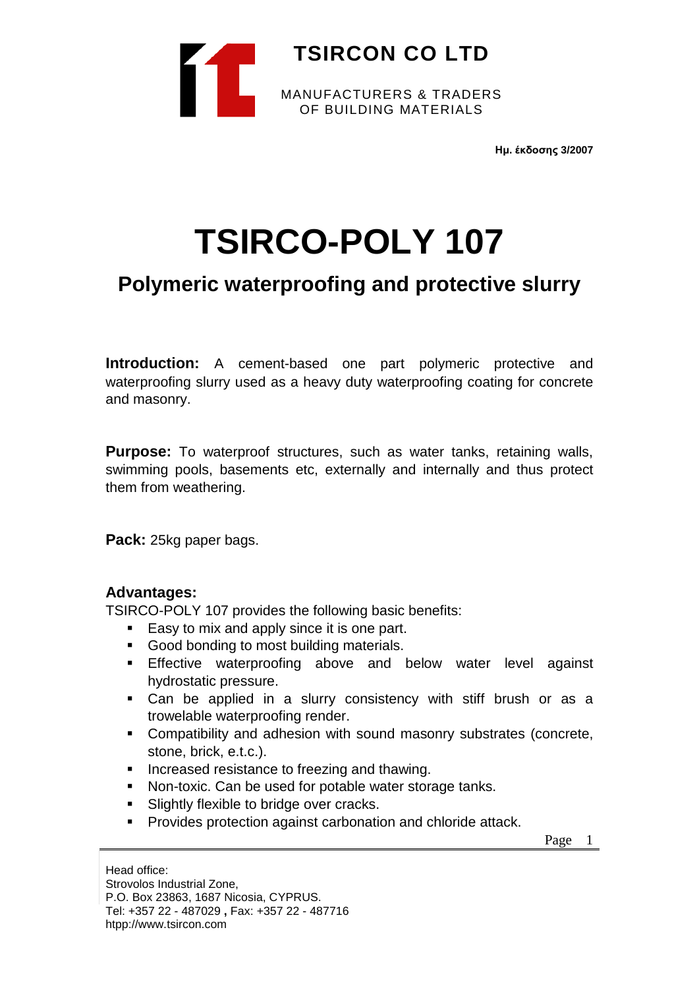

**Ημ. έκδοσης 3/2007**

# **TSIRCO-POLY 107**

# **Polymeric waterproofing and protective slurry**

**Introduction:** A cement-based one part polymeric protective and waterproofing slurry used as a heavy duty waterproofing coating for concrete and masonry.

**Purpose:** To waterproof structures, such as water tanks, retaining walls, swimming pools, basements etc, externally and internally and thus protect them from weathering.

**Pack:** 25kg paper bags.

## **Advantages:**

TSIRCO-POLY 107 provides the following basic benefits:

- Easy to mix and apply since it is one part.
- Good bonding to most building materials.
- **Effective waterproofing above and below water level against** hydrostatic pressure.
- Can be applied in a slurry consistency with stiff brush or as a trowelable waterproofing render.
- Compatibility and adhesion with sound masonry substrates (concrete, stone, brick, e.t.c.).
- **Increased resistance to freezing and thawing.**
- Non-toxic. Can be used for potable water storage tanks.
- **Slightly flexible to bridge over cracks.**
- **Provides protection against carbonation and chloride attack.**

Page 1

Head office: Strovolos Industrial Zone, P.O. Box 23863, 1687 Nicosia, CYPRUS. Tel: +357 22 - 487029 **,** Fax: +357 22 - 487716 htpp://www.tsircon.com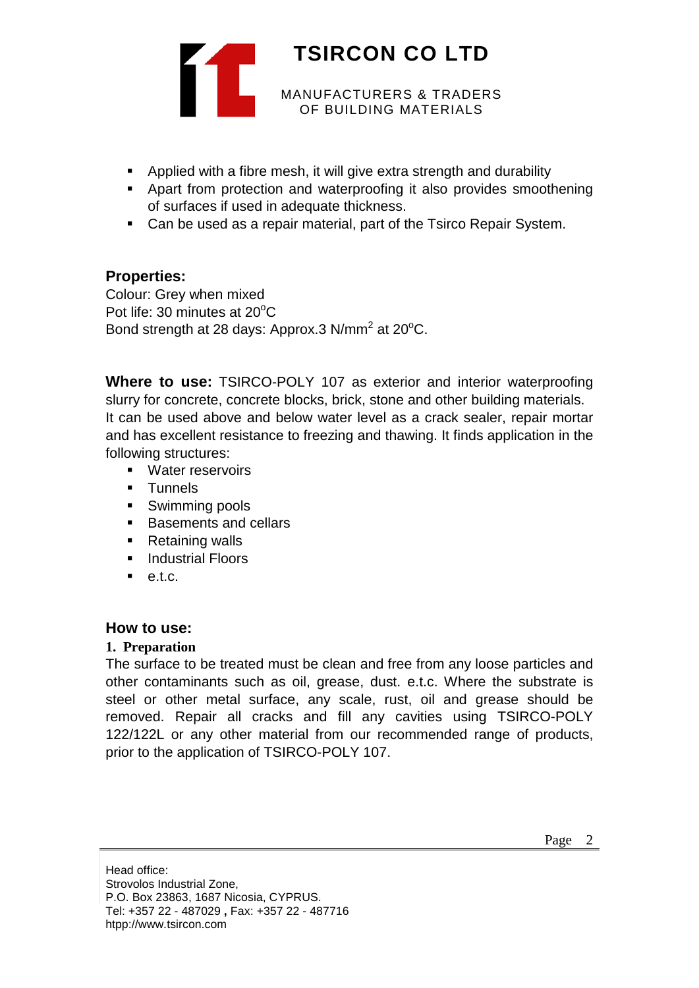

- Applied with a fibre mesh, it will give extra strength and durability
- Apart from protection and waterproofing it also provides smoothening of surfaces if used in adequate thickness.
- Can be used as a repair material, part of the Tsirco Repair System.

## **Properties:**

Colour: Grey when mixed Pot life: 30 minutes at 20°C Bond strength at 28 days: Approx.3 N/mm<sup>2</sup> at 20 $^{\circ}$ C.

**Where to use:** TSIRCO-POLY 107 as exterior and interior waterproofing slurry for concrete, concrete blocks, brick, stone and other building materials. It can be used above and below water level as a crack sealer, repair mortar and has excellent resistance to freezing and thawing. It finds application in the following structures:

- **Nater reservoirs**
- **Tunnels**
- **Swimming pools**
- Basements and cellars
- Retaining walls
- **Industrial Floors**
- $e$ tc.

## **How to use:**

#### **1. Preparation**

The surface to be treated must be clean and free from any loose particles and other contaminants such as oil, grease, dust. e.t.c. Where the substrate is steel or other metal surface, any scale, rust, oil and grease should be removed. Repair all cracks and fill any cavities using TSIRCO-POLY 122/122L or any other material from our recommended range of products, prior to the application of TSIRCO-POLY 107.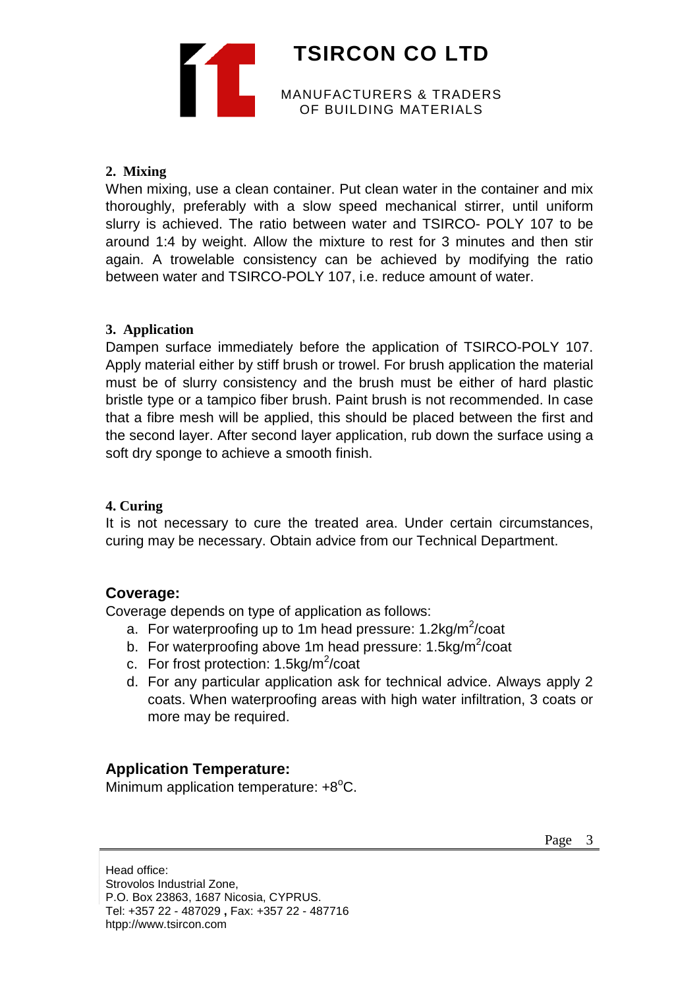

#### **2. Mixing**

When mixing, use a clean container. Put clean water in the container and mix thoroughly, preferably with a slow speed mechanical stirrer, until uniform slurry is achieved. The ratio between water and TSIRCO- POLY 107 to be around 1:4 by weight. Allow the mixture to rest for 3 minutes and then stir again. A trowelable consistency can be achieved by modifying the ratio between water and TSIRCO-POLY 107, i.e. reduce amount of water.

#### **3. Application**

Dampen surface immediately before the application of TSIRCO-POLY 107. Apply material either by stiff brush or trowel. For brush application the material must be of slurry consistency and the brush must be either of hard plastic bristle type or a tampico fiber brush. Paint brush is not recommended. In case that a fibre mesh will be applied, this should be placed between the first and the second layer. After second layer application, rub down the surface using a soft dry sponge to achieve a smooth finish.

#### **4. Curing**

It is not necessary to cure the treated area. Under certain circumstances, curing may be necessary. Obtain advice from our Technical Department.

## **Coverage:**

Coverage depends on type of application as follows:

- a. For waterproofing up to 1m head pressure: 1.2kg/m<sup>2</sup>/coat
- b. For waterproofing above 1m head pressure: 1.5kg/m<sup>2</sup>/coat
- c. For frost protection: 1.5kg/m<sup>2</sup>/coat
- d. For any particular application ask for technical advice. Always apply 2 coats. When waterproofing areas with high water infiltration, 3 coats or more may be required.

## **Application Temperature:**

Minimum application temperature:  $+8^{\circ}$ C.

Head office: Strovolos Industrial Zone, P.O. Box 23863, 1687 Nicosia, CYPRUS. Tel: +357 22 - 487029 **,** Fax: +357 22 - 487716 htpp://www.tsircon.com